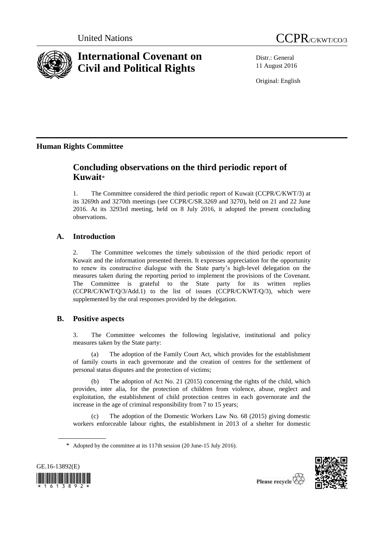

# **International Covenant on Civil and Political Rights**



Distr.: General 11 August 2016

Original: English

# **Human Rights Committee**

# **Concluding observations on the third periodic report of Kuwait**\*

1. The Committee considered the third periodic report of Kuwait (CCPR/C/KWT/3) at its 3269th and 3270th meetings (see CCPR/C/SR.3269 and 3270), held on 21 and 22 June 2016. At its 3293rd meeting, held on 8 July 2016, it adopted the present concluding observations.

# **A. Introduction**

2. The Committee welcomes the timely submission of the third periodic report of Kuwait and the information presented therein. It expresses appreciation for the opportunity to renew its constructive dialogue with the State party's high-level delegation on the measures taken during the reporting period to implement the provisions of the Covenant. The Committee is grateful to the State party for its written replies (CCPR/C/KWT/Q/3/Add.1) to the list of issues (CCPR/C/KWT/Q/3), which were supplemented by the oral responses provided by the delegation.

# **B. Positive aspects**

3. The Committee welcomes the following legislative, institutional and policy measures taken by the State party:

(a) The adoption of the Family Court Act, which provides for the establishment of family courts in each governorate and the creation of centres for the settlement of personal status disputes and the protection of victims;

(b) The adoption of Act No. 21 (2015) concerning the rights of the child, which provides, inter alia, for the protection of children from violence, abuse, neglect and exploitation, the establishment of child protection centres in each governorate and the increase in the age of criminal responsibility from 7 to 15 years;

The adoption of the Domestic Workers Law No. 68 (2015) giving domestic workers enforceable labour rights, the establishment in 2013 of a shelter for domestic

<sup>\*</sup> Adopted by the committee at its 117th session (20 June-15 July 2016).



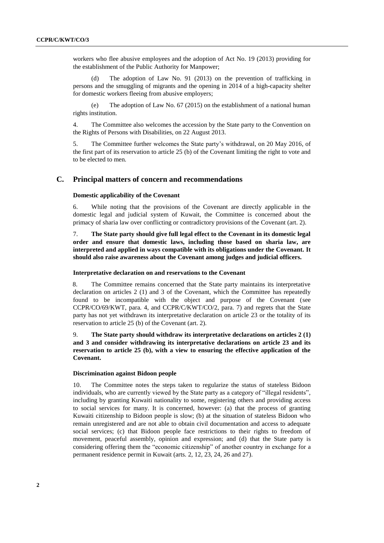workers who flee abusive employees and the adoption of Act No. 19 (2013) providing for the establishment of the Public Authority for Manpower;

(d) The adoption of Law No. 91 (2013) on the prevention of trafficking in persons and the smuggling of migrants and the opening in 2014 of a high-capacity shelter for domestic workers fleeing from abusive employers;

(e) The adoption of Law No. 67 (2015) on the establishment of a national human rights institution.

4. The Committee also welcomes the accession by the State party to the Convention on the Rights of Persons with Disabilities, on 22 August 2013.

5. The Committee further welcomes the State party's withdrawal, on 20 May 2016, of the first part of its reservation to article 25 (b) of the Covenant limiting the right to vote and to be elected to men*.*

# **C. Principal matters of concern and recommendations**

### **Domestic applicability of the Covenant**

6. While noting that the provisions of the Covenant are directly applicable in the domestic legal and judicial system of Kuwait, the Committee is concerned about the primacy of sharia law over conflicting or contradictory provisions of the Covenant (art. 2).

7. **The State party should give full legal effect to the Covenant in its domestic legal order and ensure that domestic laws, including those based on sharia law, are interpreted and applied in ways compatible with its obligations under the Covenant. It should also raise awareness about the Covenant among judges and judicial officers.** 

# **Interpretative declaration on and reservations to the Covenant**

8. The Committee remains concerned that the State party maintains its interpretative declaration on articles 2 (1) and 3 of the Covenant, which the Committee has repeatedly found to be incompatible with the object and purpose of the Covenant (see CCPR/CO/69/KWT, para. 4, and CCPR/C/KWT/CO/2, para. 7) and regrets that the State party has not yet withdrawn its interpretative declaration on article 23 or the totality of its reservation to article 25 (b) of the Covenant (art. 2).

9. **The State party should withdraw its interpretative declarations on articles 2 (1) and 3 and consider withdrawing its interpretative declarations on article 23 and its reservation to article 25 (b), with a view to ensuring the effective application of the Covenant.**

## **Discrimination against Bidoon people**

10. The Committee notes the steps taken to regularize the status of stateless Bidoon individuals, who are currently viewed by the State party as a category of "illegal residents", including by granting Kuwaiti nationality to some, registering others and providing access to social services for many. It is concerned, however: (a) that the process of granting Kuwaiti citizenship to Bidoon people is slow; (b) at the situation of stateless Bidoon who remain unregistered and are not able to obtain civil documentation and access to adequate social services; (c) that Bidoon people face restrictions to their rights to freedom of movement, peaceful assembly, opinion and expression; and (d) that the State party is considering offering them the "economic citizenship" of another country in exchange for a permanent residence permit in Kuwait (arts. 2, 12, 23, 24, 26 and 27).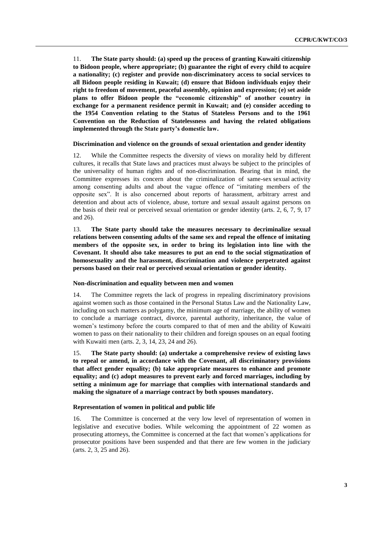11. **The State party should: (a) speed up the process of granting Kuwaiti citizenship to Bidoon people, where appropriate; (b) guarantee the right of every child to acquire a nationality; (c) register and provide non-discriminatory access to social services to all Bidoon people residing in Kuwait; (d) ensure that Bidoon individuals enjoy their right to freedom of movement, peaceful assembly, opinion and expression; (e) set aside plans to offer Bidoon people the "economic citizenship" of another country in exchange for a permanent residence permit in Kuwait; and (e) consider acceding to the 1954 Convention relating to the Status of Stateless Persons and to the 1961 Convention on the Reduction of Statelessness and having the related obligations implemented through the State party's domestic law.** 

#### **Discrimination and violence on the grounds of sexual orientation and gender identity**

12. While the Committee respects the diversity of views on morality held by different cultures, it recalls that State laws and practices must always be subject to the principles of the universality of human rights and of non-discrimination. Bearing that in mind, the Committee expresses its concern about the criminalization of same-sex sexual activity among consenting adults and about the vague offence of "imitating members of the opposite sex". It is also concerned about reports of harassment, arbitrary arrest and detention and about acts of violence, abuse, torture and sexual assault against persons on the basis of their real or perceived sexual orientation or gender identity (arts. 2, 6, 7, 9, 17 and 26).

13. **The State party should take the measures necessary to decriminalize sexual relations between consenting adults of the same sex and repeal the offence of imitating members of the opposite sex, in order to bring its legislation into line with the Covenant. It should also take measures to put an end to the social stigmatization of homosexuality and the harassment, discrimination and violence perpetrated against persons based on their real or perceived sexual orientation or gender identity.**

#### **Non-discrimination and equality between men and women**

14. The Committee regrets the lack of progress in repealing discriminatory provisions against women such as those contained in the Personal Status Law and the Nationality Law, including on such matters as polygamy, the minimum age of marriage, the ability of women to conclude a marriage contract, divorce, parental authority, inheritance, the value of women's testimony before the courts compared to that of men and the ability of Kuwaiti women to pass on their nationality to their children and foreign spouses on an equal footing with Kuwaiti men (arts. 2, 3, 14, 23, 24 and 26).

15. **The State party should: (a) undertake a comprehensive review of existing laws to repeal or amend, in accordance with the Covenant, all discriminatory provisions that affect gender equality; (b) take appropriate measures to enhance and promote equality; and (c) adopt measures to prevent early and forced marriages, including by setting a minimum age for marriage that complies with international standards and making the signature of a marriage contract by both spouses mandatory.** 

#### **Representation of women in political and public life**

16. The Committee is concerned at the very low level of representation of women in legislative and executive bodies. While welcoming the appointment of 22 women as prosecuting attorneys, the Committee is concerned at the fact that women's applications for prosecutor positions have been suspended and that there are few women in the judiciary (arts. 2, 3, 25 and 26).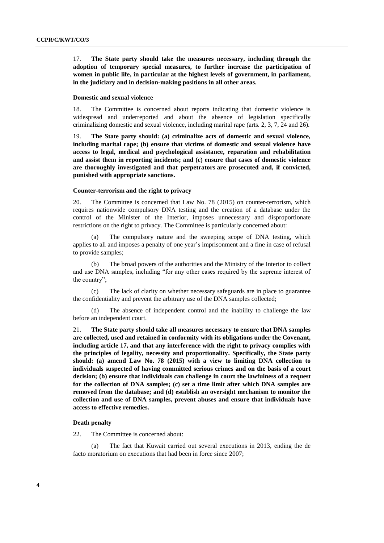17. **The State party should take the measures necessary, including through the adoption of temporary special measures, to further increase the participation of women in public life, in particular at the highest levels of government, in parliament, in the judiciary and in decision-making positions in all other areas.**

#### **Domestic and sexual violence**

18. The Committee is concerned about reports indicating that domestic violence is widespread and underreported and about the absence of legislation specifically criminalizing domestic and sexual violence, including marital rape (arts. 2, 3, 7, 24 and 26).

19. **The State party should: (a) criminalize acts of domestic and sexual violence, including marital rape; (b) ensure that victims of domestic and sexual violence have access to legal, medical and psychological assistance, reparation and rehabilitation and assist them in reporting incidents; and (c) ensure that cases of domestic violence are thoroughly investigated and that perpetrators are prosecuted and, if convicted, punished with appropriate sanctions.** 

#### **Counter-terrorism and the right to privacy**

20. The Committee is concerned that Law No. 78 (2015) on counter-terrorism, which requires nationwide compulsory DNA testing and the creation of a database under the control of the Minister of the Interior, imposes unnecessary and disproportionate restrictions on the right to privacy. The Committee is particularly concerned about:

(a) The compulsory nature and the sweeping scope of DNA testing, which applies to all and imposes a penalty of one year's imprisonment and a fine in case of refusal to provide samples;

(b) The broad powers of the authorities and the Ministry of the Interior to collect and use DNA samples, including "for any other cases required by the supreme interest of the country";

(c) The lack of clarity on whether necessary safeguards are in place to guarantee the confidentiality and prevent the arbitrary use of the DNA samples collected;

(d) The absence of independent control and the inability to challenge the law before an independent court.

21. **The State party should take all measures necessary to ensure that DNA samples are collected, used and retained in conformity with its obligations under the Covenant, including article 17, and that any interference with the right to privacy complies with the principles of legality, necessity and proportionality. Specifically, the State party should: (a) amend Law No. 78 (2015) with a view to limiting DNA collection to individuals suspected of having committed serious crimes and on the basis of a court decision; (b) ensure that individuals can challenge in court the lawfulness of a request for the collection of DNA samples; (c) set a time limit after which DNA samples are removed from the database; and (d) establish an oversight mechanism to monitor the collection and use of DNA samples, prevent abuses and ensure that individuals have access to effective remedies.** 

#### **Death penalty**

22. The Committee is concerned about:

(a) The fact that Kuwait carried out several executions in 2013, ending the de facto moratorium on executions that had been in force since 2007;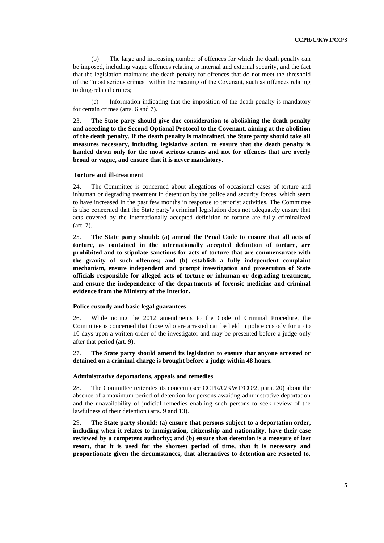(b) The large and increasing number of offences for which the death penalty can be imposed, including vague offences relating to internal and external security, and the fact that the legislation maintains the death penalty for offences that do not meet the threshold of the "most serious crimes" within the meaning of the Covenant, such as offences relating to drug-related crimes;

(c) Information indicating that the imposition of the death penalty is mandatory for certain crimes (arts. 6 and 7).

23. **The State party should give due consideration to abolishing the death penalty and acceding to the Second Optional Protocol to the Covenant, aiming at the abolition of the death penalty. If the death penalty is maintained, the State party should take all measures necessary, including legislative action, to ensure that the death penalty is handed down only for the most serious crimes and not for offences that are overly broad or vague, and ensure that it is never mandatory.** 

#### **Torture and ill-treatment**

24. The Committee is concerned about allegations of occasional cases of torture and inhuman or degrading treatment in detention by the police and security forces, which seem to have increased in the past few months in response to terrorist activities. The Committee is also concerned that the State party's criminal legislation does not adequately ensure that acts covered by the internationally accepted definition of torture are fully criminalized (art. 7).

25. **The State party should: (a) amend the Penal Code to ensure that all acts of torture, as contained in the internationally accepted definition of torture, are prohibited and to stipulate sanctions for acts of torture that are commensurate with the gravity of such offences; and (b) establish a fully independent complaint mechanism, ensure independent and prompt investigation and prosecution of State officials responsible for alleged acts of torture or inhuman or degrading treatment, and ensure the independence of the departments of forensic medicine and criminal evidence from the Ministry of the Interior.**

#### **Police custody and basic legal guarantees**

26. While noting the 2012 amendments to the Code of Criminal Procedure, the Committee is concerned that those who are arrested can be held in police custody for up to 10 days upon a written order of the investigator and may be presented before a judge only after that period (art. 9).

27. **The State party should amend its legislation to ensure that anyone arrested or detained on a criminal charge is brought before a judge within 48 hours.** 

# **Administrative deportations, appeals and remedies**

28. The Committee reiterates its concern (see CCPR/C/KWT/CO/2, para. 20) about the absence of a maximum period of detention for persons awaiting administrative deportation and the unavailability of judicial remedies enabling such persons to seek review of the lawfulness of their detention (arts. 9 and 13).

29. **The State party should: (a) ensure that persons subject to a deportation order, including when it relates to immigration, citizenship and nationality, have their case reviewed by a competent authority; and (b) ensure that detention is a measure of last resort, that it is used for the shortest period of time, that it is necessary and proportionate given the circumstances, that alternatives to detention are resorted to,**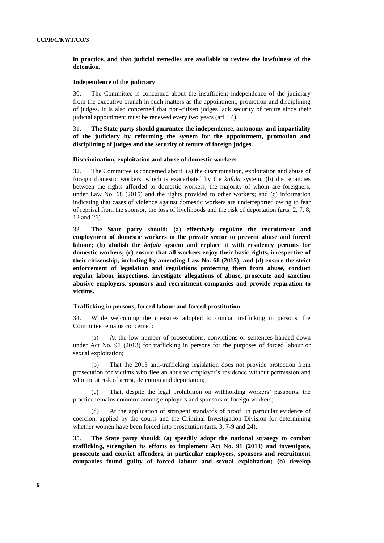**in practice, and that judicial remedies are available to review the lawfulness of the detention.**

#### **Independence of the judiciary**

30. The Committee is concerned about the insufficient independence of the judiciary from the executive branch in such matters as the appointment, promotion and disciplining of judges. It is also concerned that non-citizen judges lack security of tenure since their judicial appointment must be renewed every two years (art. 14).

# 31. **The State party should guarantee the independence, autonomy and impartiality of the judiciary by reforming the system for the appointment, promotion and disciplining of judges and the security of tenure of foreign judges.**

#### **Discrimination, exploitation and abuse of domestic workers**

32. The Committee is concerned about: (a) the discrimination, exploitation and abuse of foreign domestic workers, which is exacerbated by the *kafala* system; (b) discrepancies between the rights afforded to domestic workers, the majority of whom are foreigners, under Law No. 68 (2015) and the rights provided to other workers; and (c) information indicating that cases of violence against domestic workers are underreported owing to fear of reprisal from the sponsor, the loss of livelihoods and the risk of deportation (arts. 2, 7, 8, 12 and 26).

33. **The State party should: (a) effectively regulate the recruitment and employment of domestic workers in the private sector to prevent abuse and forced labour; (b) abolish the** *kafala* **system and replace it with residency permits for domestic workers; (c) ensure that all workers enjoy their basic rights, irrespective of their citizenship, including by amending Law No. 68 (2015); and (d) ensure the strict enforcement of legislation and regulations protecting them from abuse, conduct regular labour inspections, investigate allegations of abuse, prosecute and sanction abusive employers, sponsors and recruitment companies and provide reparation to victims.** 

### **Trafficking in persons, forced labour and forced prostitution**

34. While welcoming the measures adopted to combat trafficking in persons, the Committee remains concerned:

(a) At the low number of prosecutions, convictions or sentences handed down under Act No. 91 (2013) for trafficking in persons for the purposes of forced labour or sexual exploitation;

(b) That the 2013 anti-trafficking legislation does not provide protection from prosecution for victims who flee an abusive employer's residence without permission and who are at risk of arrest, detention and deportation;

(c) That, despite the legal prohibition on withholding workers' passports, the practice remains common among employers and sponsors of foreign workers;

At the application of stringent standards of proof, in particular evidence of coercion, applied by the courts and the Criminal Investigation Division for determining whether women have been forced into prostitution (arts. 3, 7-9 and 24).

35. **The State party should: (a) speedily adopt the national strategy to combat trafficking, strengthen its efforts to implement Act No. 91 (2013) and investigate, prosecute and convict offenders, in particular employers, sponsors and recruitment companies found guilty of forced labour and sexual exploitation; (b) develop**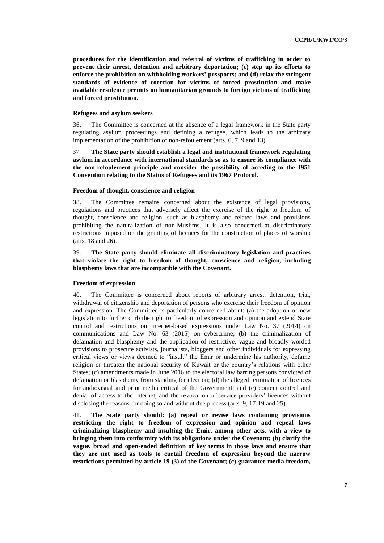**procedures for the identification and referral of victims of trafficking in order to prevent their arrest, detention and arbitrary deportation; (c) step up its efforts to enforce the prohibition on withholding workers' passports; and (d) relax the stringent standards of evidence of coercion for victims of forced prostitution and make available residence permits on humanitarian grounds to foreign victims of trafficking and forced prostitution.**

#### **Refugees and asylum seekers**

36. The Committee is concerned at the absence of a legal framework in the State party regulating asylum proceedings and defining a refugee, which leads to the arbitrary implementation of the prohibition of non-refoulement (arts. 6, 7, 9 and 13).

37. **The State party should establish a legal and institutional framework regulating asylum in accordance with international standards so as to ensure its compliance with the non-refoulement principle and consider the possibility of acceding to the 1951 Convention relating to the Status of Refugees and its 1967 Protocol.**

#### **Freedom of thought, conscience and religion**

38. The Committee remains concerned about the existence of legal provisions, regulations and practices that adversely affect the exercise of the right to freedom of thought, conscience and religion, such as blasphemy and related laws and provisions prohibiting the naturalization of non-Muslims. It is also concerned at discriminatory restrictions imposed on the granting of licences for the construction of places of worship (arts. 18 and 26).

39. **The State party should eliminate all discriminatory legislation and practices that violate the right to freedom of thought, conscience and religion, including blasphemy laws that are incompatible with the Covenant.**

#### **Freedom of expression**

40. The Committee is concerned about reports of arbitrary arrest, detention, trial, withdrawal of citizenship and deportation of persons who exercise their freedom of opinion and expression. The Committee is particularly concerned about: (a) the adoption of new legislation to further curb the right to freedom of expression and opinion and extend State control and restrictions on Internet-based expressions under Law No. 37 (2014) on communications and Law No. 63 (2015) on cybercrime; (b) the criminalization of defamation and blasphemy and the application of restrictive, vague and broadly worded provisions to prosecute activists, journalists, bloggers and other individuals for expressing critical views or views deemed to "insult" the Emir or undermine his authority, defame religion or threaten the national security of Kuwait or the country's relations with other States; (c) amendments made in June 2016 to the electoral law barring persons convicted of defamation or blasphemy from standing for election; (d) the alleged termination of licences for audiovisual and print media critical of the Government; and (e) content control and denial of access to the Internet, and the revocation of service providers' licences without disclosing the reasons for doing so and without due process (arts. 9, 17-19 and 25).

41. **The State party should: (a) repeal or revise laws containing provisions restricting the right to freedom of expression and opinion and repeal laws criminalizing blasphemy and insulting the Emir, among other acts, with a view to bringing them into conformity with its obligations under the Covenant; (b) clarify the vague, broad and open-ended definition of key terms in those laws and ensure that they are not used as tools to curtail freedom of expression beyond the narrow restrictions permitted by article 19 (3) of the Covenant; (c) guarantee media freedom,**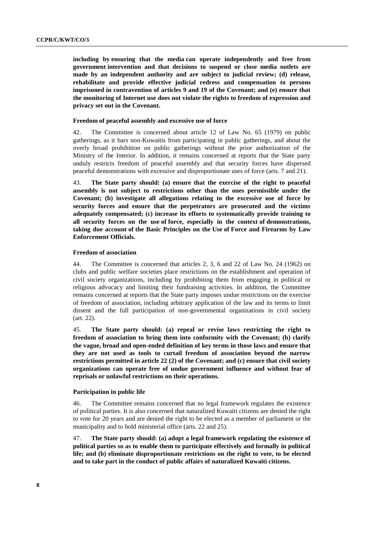**including by ensuring that the media can operate independently and free from government intervention and that decisions to suspend or close media outlets are made by an independent authority and are subject to judicial review; (d) release, rehabilitate and provide effective judicial redress and compensation to persons imprisoned in contravention of articles 9 and 19 of the Covenant; and (e) ensure that the monitoring of Internet use does not violate the rights to freedom of expression and privacy set out in the Covenant.**

#### **Freedom of peaceful assembly and excessive use of force**

42. The Committee is concerned about article 12 of Law No. 65 (1979) on public gatherings, as it bars non-Kuwaitis from participating in public gatherings, and about the overly broad prohibition on public gatherings without the prior authorization of the Ministry of the Interior. In addition, it remains concerned at reports that the State party unduly restricts freedom of peaceful assembly and that security forces have dispersed peaceful demonstrations with excessive and disproportionate uses of force (arts. 7 and 21).

43. **The State party should: (a) ensure that the exercise of the right to peaceful assembly is not subject to restrictions other than the ones permissible under the Covenant; (b) investigate all allegations relating to the excessive use of force by security forces and ensure that the perpetrators are prosecuted and the victims adequately compensated; (c) increase its efforts to systematically provide training to all security forces on the use of force, especially in the context of demonstrations, taking due account of the Basic Principles on the Use of Force and Firearms by Law Enforcement Officials.**

### **Freedom of association**

44. The Committee is concerned that articles 2, 3, 6 and 22 of Law No. 24 (1962) on clubs and public welfare societies place restrictions on the establishment and operation of civil society organizations, including by prohibiting them from engaging in political or religious advocacy and limiting their fundraising activities. In addition, the Committee remains concerned at reports that the State party imposes undue restrictions on the exercise of freedom of association, including arbitrary application of the law and its terms to limit dissent and the full participation of non-governmental organizations in civil society (art. 22).

45. **The State party should: (a) repeal or revise laws restricting the right to freedom of association to bring them into conformity with the Covenant; (b) clarify the vague, broad and open-ended definition of key terms in those laws and ensure that they are not used as tools to curtail freedom of association beyond the narrow restrictions permitted in article 22 (2) of the Covenant; and (c) ensure that civil society organizations can operate free of undue government influence and without fear of reprisals or unlawful restrictions on their operations.**

#### **Participation in public life**

46. The Committee remains concerned that no legal framework regulates the existence of political parties. It is also concerned that naturalized Kuwaiti citizens are denied the right to vote for 20 years and are denied the right to be elected as a member of parliament or the municipality and to hold ministerial office (arts. 22 and 25).

47. **The State party should: (a) adopt a legal framework regulating the existence of political parties so as to enable them to participate effectively and formally in political life; and (b) eliminate disproportionate restrictions on the right to vote, to be elected and to take part in the conduct of public affairs of naturalized Kuwaiti citizens.**